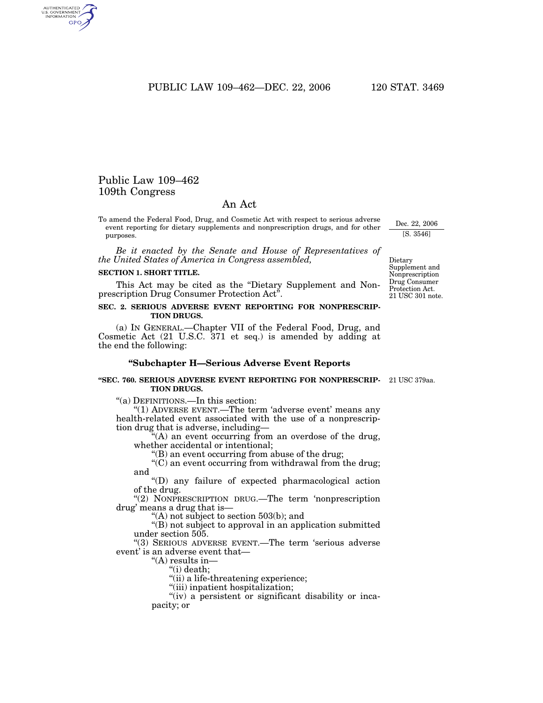PUBLIC LAW 109-462-DEC. 22, 2006 120 STAT. 3469

# Public Law 109–462 109th Congress

AUTHENTICATED<br>U.S. GOVERNMENT<br>INFORMATION GPO

## An Act

To amend the Federal Food, Drug, and Cosmetic Act with respect to serious adverse event reporting for dietary supplements and nonprescription drugs, and for other purposes.

*Be it enacted by the Senate and House of Representatives of the United States of America in Congress assembled,*

### **SECTION 1. SHORT TITLE.**

This Act may be cited as the ''Dietary Supplement and Nonprescription Drug Consumer Protection Act''.

## **SEC. 2. SERIOUS ADVERSE EVENT REPORTING FOR NONPRESCRIP-TION DRUGS.**

(a) IN GENERAL.—Chapter VII of the Federal Food, Drug, and Cosmetic Act (21 U.S.C. 371 et seq.) is amended by adding at the end the following:

## **''Subchapter H—Serious Adverse Event Reports**

#### **''SEC. 760. SERIOUS ADVERSE EVENT REPORTING FOR NONPRESCRIP-**21 USC 379aa. **TION DRUGS.**

''(a) DEFINITIONS.—In this section:

"(1) ADVERSE EVENT.—The term 'adverse event' means any health-related event associated with the use of a nonprescription drug that is adverse, including—

"(A) an event occurring from an overdose of the drug, whether accidental or intentional;

''(B) an event occurring from abuse of the drug;

"(C) an event occurring from withdrawal from the drug; and

''(D) any failure of expected pharmacological action of the drug.

"(2) NONPRESCRIPTION DRUG.—The term 'nonprescription drug' means a drug that is—

''(A) not subject to section 503(b); and

''(B) not subject to approval in an application submitted under section 505.

''(3) SERIOUS ADVERSE EVENT.—The term 'serious adverse event' is an adverse event that—

"(A) results in-

''(i) death;

"(ii) a life-threatening experience;

''(iii) inpatient hospitalization;

"(iv) a persistent or significant disability or incapacity; or

21 USC 301 note. Dietary Supplement and Nonprescription Drug Consumer Protection Act.

Dec. 22, 2006 [S. 3546]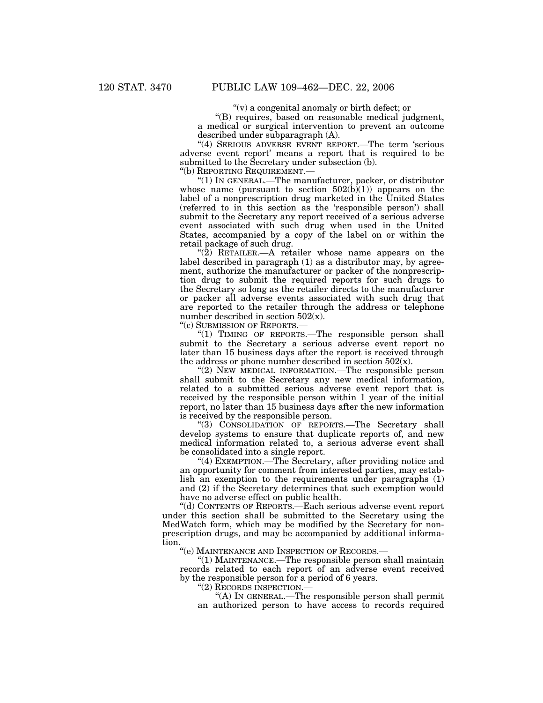$(v)$  a congenital anomaly or birth defect; or

''(B) requires, based on reasonable medical judgment, a medical or surgical intervention to prevent an outcome described under subparagraph (A).

"(4) SERIOUS ADVERSE EVENT REPORT.—The term 'serious adverse event report' means a report that is required to be submitted to the Secretary under subsection (b).

''(b) REPORTING REQUIREMENT.—

''(1) IN GENERAL.—The manufacturer, packer, or distributor whose name (pursuant to section  $502(b)(1)$ ) appears on the label of a nonprescription drug marketed in the United States (referred to in this section as the 'responsible person') shall submit to the Secretary any report received of a serious adverse event associated with such drug when used in the United States, accompanied by a copy of the label on or within the retail package of such drug.

" $(2)$  RETAILER.—A retailer whose name appears on the label described in paragraph (1) as a distributor may, by agreement, authorize the manufacturer or packer of the nonprescription drug to submit the required reports for such drugs to the Secretary so long as the retailer directs to the manufacturer or packer all adverse events associated with such drug that are reported to the retailer through the address or telephone number described in section  $502(x)$ .

''(c) SUBMISSION OF REPORTS.—

"(1) TIMING OF REPORTS.—The responsible person shall submit to the Secretary a serious adverse event report no later than 15 business days after the report is received through the address or phone number described in section  $502(x)$ .

"(2) NEW MEDICAL INFORMATION.—The responsible person shall submit to the Secretary any new medical information, related to a submitted serious adverse event report that is received by the responsible person within 1 year of the initial report, no later than 15 business days after the new information is received by the responsible person.

"(3) CONSOLIDATION OF REPORTS.—The Secretary shall develop systems to ensure that duplicate reports of, and new medical information related to, a serious adverse event shall be consolidated into a single report.

''(4) EXEMPTION.—The Secretary, after providing notice and an opportunity for comment from interested parties, may establish an exemption to the requirements under paragraphs (1) and (2) if the Secretary determines that such exemption would have no adverse effect on public health.

''(d) CONTENTS OF REPORTS.—Each serious adverse event report under this section shall be submitted to the Secretary using the MedWatch form, which may be modified by the Secretary for nonprescription drugs, and may be accompanied by additional information.

''(e) MAINTENANCE AND INSPECTION OF RECORDS.—

"(1) MAINTENANCE.—The responsible person shall maintain records related to each report of an adverse event received by the responsible person for a period of 6 years.

''(2) RECORDS INSPECTION.—

''(A) IN GENERAL.—The responsible person shall permit an authorized person to have access to records required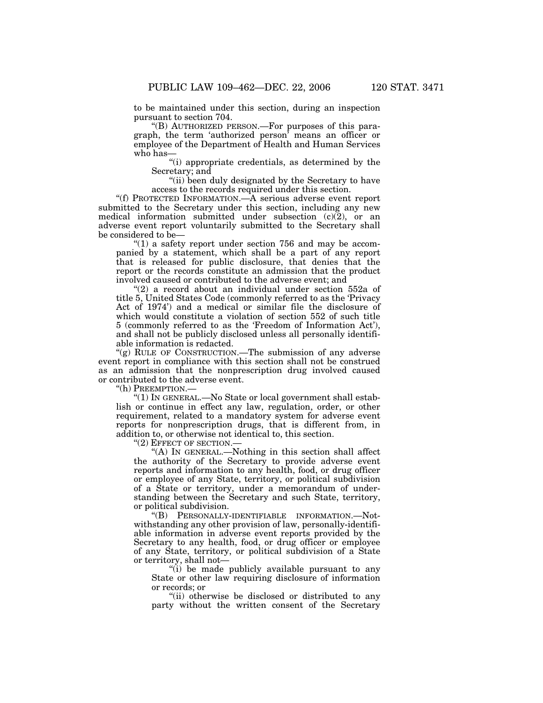to be maintained under this section, during an inspection pursuant to section 704.

''(B) AUTHORIZED PERSON.—For purposes of this paragraph, the term 'authorized person' means an officer or employee of the Department of Health and Human Services who has—

''(i) appropriate credentials, as determined by the Secretary; and

''(ii) been duly designated by the Secretary to have access to the records required under this section.

''(f) PROTECTED INFORMATION.—A serious adverse event report submitted to the Secretary under this section, including any new medical information submitted under subsection  $(c)(2)$ , or an adverse event report voluntarily submitted to the Secretary shall be considered to be—

" $(1)$  a safety report under section 756 and may be accompanied by a statement, which shall be a part of any report that is released for public disclosure, that denies that the report or the records constitute an admission that the product involved caused or contributed to the adverse event; and

"(2) a record about an individual under section 552a of title 5, United States Code (commonly referred to as the 'Privacy Act of 1974') and a medical or similar file the disclosure of which would constitute a violation of section 552 of such title 5 (commonly referred to as the 'Freedom of Information Act'), and shall not be publicly disclosed unless all personally identifiable information is redacted.

"(g) RULE OF CONSTRUCTION.—The submission of any adverse event report in compliance with this section shall not be construed as an admission that the nonprescription drug involved caused or contributed to the adverse event.

''(h) PREEMPTION.—

 $f(1)$  In GENERAL.—No State or local government shall establish or continue in effect any law, regulation, order, or other requirement, related to a mandatory system for adverse event reports for nonprescription drugs, that is different from, in addition to, or otherwise not identical to, this section.

''(2) EFFECT OF SECTION.—

''(A) IN GENERAL.—Nothing in this section shall affect the authority of the Secretary to provide adverse event reports and information to any health, food, or drug officer or employee of any State, territory, or political subdivision of a State or territory, under a memorandum of understanding between the Secretary and such State, territory, or political subdivision.

''(B) PERSONALLY-IDENTIFIABLE INFORMATION.—Notwithstanding any other provision of law, personally-identifiable information in adverse event reports provided by the Secretary to any health, food, or drug officer or employee of any State, territory, or political subdivision of a State or territory, shall not—

''(i) be made publicly available pursuant to any State or other law requiring disclosure of information or records; or

"(ii) otherwise be disclosed or distributed to any party without the written consent of the Secretary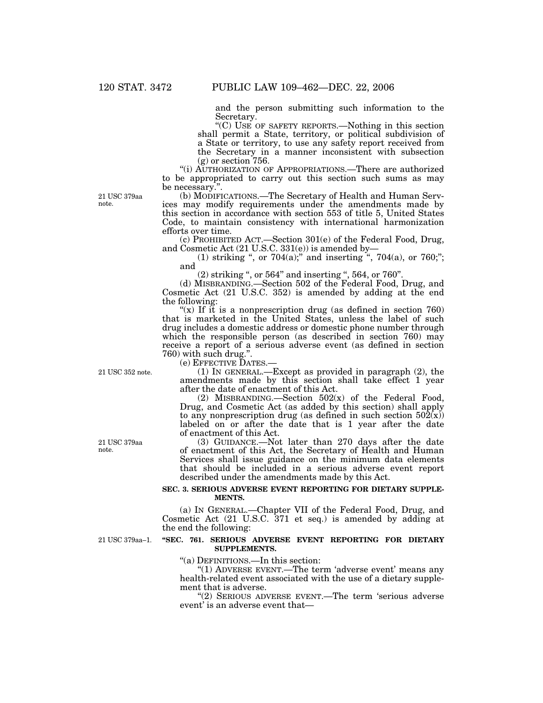and the person submitting such information to the Secretary.

''(C) USE OF SAFETY REPORTS.—Nothing in this section shall permit a State, territory, or political subdivision of a State or territory, to use any safety report received from the Secretary in a manner inconsistent with subsection (g) or section 756.

''(i) AUTHORIZATION OF APPROPRIATIONS.—There are authorized to be appropriated to carry out this section such sums as may be necessary.''.

21 USC 379aa note.

(b) MODIFICATIONS.—The Secretary of Health and Human Services may modify requirements under the amendments made by this section in accordance with section 553 of title 5, United States Code, to maintain consistency with international harmonization efforts over time.

(c) PROHIBITED ACT.—Section 301(e) of the Federal Food, Drug, and Cosmetic Act (21 U.S.C. 331(e)) is amended by—

(1) striking ", or  $704(a)$ ;" and inserting ",  $704(a)$ , or  $760$ ;"; and

(2) striking '', or 564'' and inserting '', 564, or 760''.

(d) MISBRANDING.—Section 502 of the Federal Food, Drug, and Cosmetic Act (21 U.S.C. 352) is amended by adding at the end the following:

"(x) If it is a nonprescription drug (as defined in section 760) that is marketed in the United States, unless the label of such drug includes a domestic address or domestic phone number through which the responsible person (as described in section 760) may receive a report of a serious adverse event (as defined in section 760) with such drug.''.

(1) IN GENERAL.—Except as provided in paragraph  $(2)$ , the amendments made by this section shall take effect 1 year after the date of enactment of this Act.

(2) MISBRANDING.—Section  $502(x)$  of the Federal Food, Drug, and Cosmetic Act (as added by this section) shall apply to any nonprescription drug (as defined in such section  $50\overline{2}(x)$ ) labeled on or after the date that is 1 year after the date of enactment of this Act.

(3) GUIDANCE.—Not later than 270 days after the date of enactment of this Act, the Secretary of Health and Human Services shall issue guidance on the minimum data elements that should be included in a serious adverse event report described under the amendments made by this Act.

## **SEC. 3. SERIOUS ADVERSE EVENT REPORTING FOR DIETARY SUPPLE-MENTS.**

(a) IN GENERAL.—Chapter VII of the Federal Food, Drug, and Cosmetic Act (21 U.S.C. 371 et seq.) is amended by adding at the end the following:

21 USC 379aa–1.

### **''SEC. 761. SERIOUS ADVERSE EVENT REPORTING FOR DIETARY SUPPLEMENTS.**

''(a) DEFINITIONS.—In this section:

"(1) ADVERSE EVENT.—The term 'adverse event' means any health-related event associated with the use of a dietary supplement that is adverse.

''(2) SERIOUS ADVERSE EVENT.—The term 'serious adverse event' is an adverse event that—

21 USC 352 note.

21 USC 379aa note.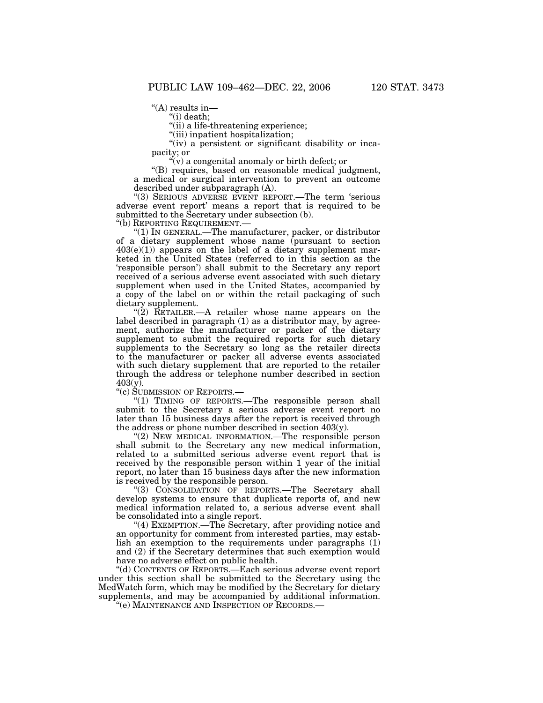$H(A)$  results in—

''(i) death;

"(ii) a life-threatening experience;

''(iii) inpatient hospitalization;

"(iv) a persistent or significant disability or incapacity; or

 $\mathcal{C}(v)$  a congenital anomaly or birth defect; or

''(B) requires, based on reasonable medical judgment, a medical or surgical intervention to prevent an outcome described under subparagraph (A).

''(3) SERIOUS ADVERSE EVENT REPORT.—The term 'serious adverse event report' means a report that is required to be submitted to the Secretary under subsection (b).<br>"(b) REPORTING REQUIREMENT.—

" $(1)$  In GENERAL.—The manufacturer, packer, or distributor of a dietary supplement whose name (pursuant to section  $403(e)(1)$  appears on the label of a dietary supplement marketed in the United States (referred to in this section as the 'responsible person') shall submit to the Secretary any report received of a serious adverse event associated with such dietary supplement when used in the United States, accompanied by a copy of the label on or within the retail packaging of such dietary supplement.

" $(2)$  RETAILER.—A retailer whose name appears on the label described in paragraph  $(1)$  as a distributor may, by agreement, authorize the manufacturer or packer of the dietary supplement to submit the required reports for such dietary supplements to the Secretary so long as the retailer directs to the manufacturer or packer all adverse events associated with such dietary supplement that are reported to the retailer through the address or telephone number described in section  $403(y)$ .

''(c) SUBMISSION OF REPORTS.—

"(1) TIMING OF REPORTS.—The responsible person shall submit to the Secretary a serious adverse event report no later than 15 business days after the report is received through the address or phone number described in section 403(y).

"(2) NEW MEDICAL INFORMATION.—The responsible person shall submit to the Secretary any new medical information, related to a submitted serious adverse event report that is received by the responsible person within 1 year of the initial report, no later than 15 business days after the new information is received by the responsible person.

''(3) CONSOLIDATION OF REPORTS.—The Secretary shall develop systems to ensure that duplicate reports of, and new medical information related to, a serious adverse event shall be consolidated into a single report.

"(4) EXEMPTION.—The Secretary, after providing notice and an opportunity for comment from interested parties, may establish an exemption to the requirements under paragraphs (1) and (2) if the Secretary determines that such exemption would have no adverse effect on public health.

''(d) CONTENTS OF REPORTS.—Each serious adverse event report under this section shall be submitted to the Secretary using the MedWatch form, which may be modified by the Secretary for dietary supplements, and may be accompanied by additional information.

''(e) MAINTENANCE AND INSPECTION OF RECORDS.—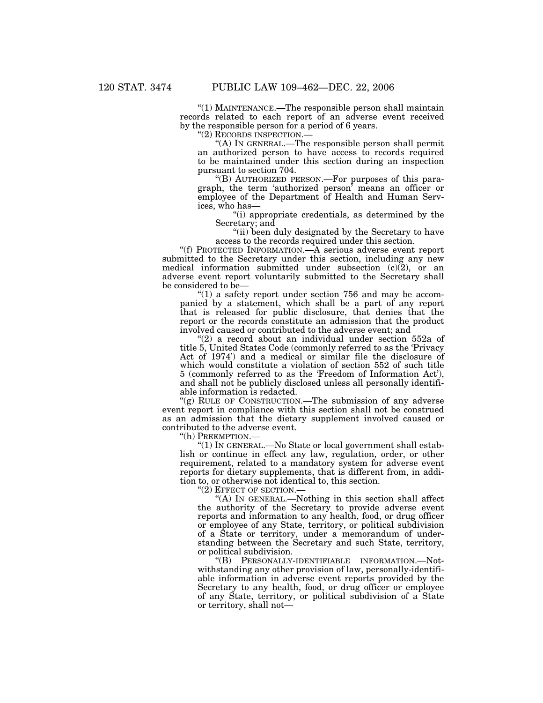''(1) MAINTENANCE.—The responsible person shall maintain records related to each report of an adverse event received by the responsible person for a period of 6 years.<br>"(2) RECORDS INSPECTION.—

"(A) In GENERAL.—The responsible person shall permit an authorized person to have access to records required to be maintained under this section during an inspection pursuant to section 704.

''(B) AUTHORIZED PERSON.—For purposes of this paragraph, the term 'authorized person' means an officer or employee of the Department of Health and Human Services, who has—

''(i) appropriate credentials, as determined by the Secretary; and

''(ii) been duly designated by the Secretary to have access to the records required under this section.

''(f) PROTECTED INFORMATION.—A serious adverse event report submitted to the Secretary under this section, including any new medical information submitted under subsection  $(c)(2)$ , or an adverse event report voluntarily submitted to the Secretary shall be considered to be—

" $(1)$  a safety report under section 756 and may be accompanied by a statement, which shall be a part of any report that is released for public disclosure, that denies that the report or the records constitute an admission that the product involved caused or contributed to the adverse event; and

"(2) a record about an individual under section 552a of title 5, United States Code (commonly referred to as the 'Privacy Act of 1974') and a medical or similar file the disclosure of which would constitute a violation of section 552 of such title 5 (commonly referred to as the 'Freedom of Information Act'), and shall not be publicly disclosed unless all personally identifiable information is redacted.

"(g) RULE OF CONSTRUCTION.—The submission of any adverse event report in compliance with this section shall not be construed as an admission that the dietary supplement involved caused or contributed to the adverse event.

''(h) PREEMPTION.—

 $(1)$  In GENERAL.—No State or local government shall establish or continue in effect any law, regulation, order, or other requirement, related to a mandatory system for adverse event reports for dietary supplements, that is different from, in addition to, or otherwise not identical to, this section.

''(2) EFFECT OF SECTION.—

''(A) IN GENERAL.—Nothing in this section shall affect the authority of the Secretary to provide adverse event reports and information to any health, food, or drug officer or employee of any State, territory, or political subdivision of a State or territory, under a memorandum of understanding between the Secretary and such State, territory, or political subdivision.

''(B) PERSONALLY-IDENTIFIABLE INFORMATION.—Notwithstanding any other provision of law, personally-identifiable information in adverse event reports provided by the Secretary to any health, food, or drug officer or employee of any State, territory, or political subdivision of a State or territory, shall not—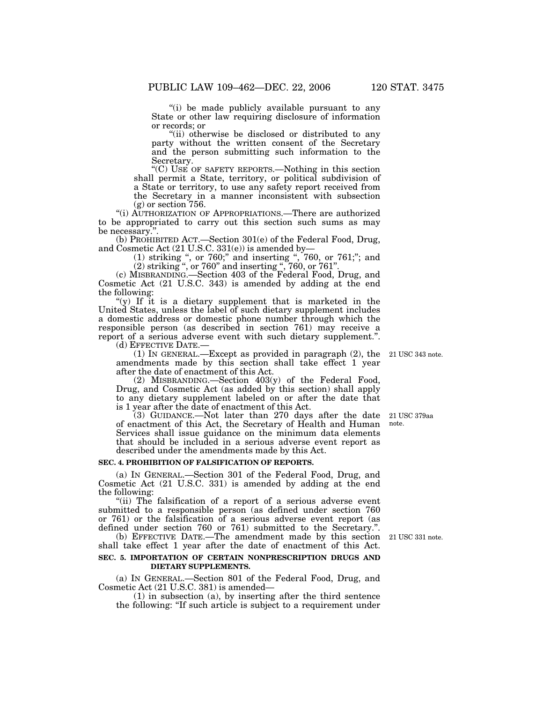''(i) be made publicly available pursuant to any State or other law requiring disclosure of information or records; or

''(ii) otherwise be disclosed or distributed to any party without the written consent of the Secretary and the person submitting such information to the Secretary.

''(C) USE OF SAFETY REPORTS.—Nothing in this section shall permit a State, territory, or political subdivision of a State or territory, to use any safety report received from the Secretary in a manner inconsistent with subsection (g) or section 756.

''(i) AUTHORIZATION OF APPROPRIATIONS.—There are authorized to be appropriated to carry out this section such sums as may be necessary.''.

(b) PROHIBITED ACT.—Section 301(e) of the Federal Food, Drug, and Cosmetic Act (21 U.S.C. 331(e)) is amended by—

(1) striking '', or 760;'' and inserting '', 760, or 761;''; and  $(2)$  striking ", or 760" and inserting ", 760, or 761".

(c) MISBRANDING.—Section 403 of the Federal Food, Drug, and Cosmetic Act (21 U.S.C. 343) is amended by adding at the end the following:

''(y) If it is a dietary supplement that is marketed in the United States, unless the label of such dietary supplement includes a domestic address or domestic phone number through which the responsible person (as described in section 761) may receive a report of a serious adverse event with such dietary supplement.''.

(1) IN GENERAL.—Except as provided in paragraph  $(2)$ , the amendments made by this section shall take effect 1 year after the date of enactment of this Act.

(2) MISBRANDING.—Section 403(y) of the Federal Food, Drug, and Cosmetic Act (as added by this section) shall apply to any dietary supplement labeled on or after the date that is 1 year after the date of enactment of this Act.

(3) GUIDANCE.—Not later than 270 days after the date of enactment of this Act, the Secretary of Health and Human Services shall issue guidance on the minimum data elements that should be included in a serious adverse event report as described under the amendments made by this Act. 21 USC 379aa

## **SEC. 4. PROHIBITION OF FALSIFICATION OF REPORTS.**

(a) IN GENERAL.—Section 301 of the Federal Food, Drug, and Cosmetic Act (21 U.S.C. 331) is amended by adding at the end the following:

"(ii) The falsification of a report of a serious adverse event submitted to a responsible person (as defined under section 760 or 761) or the falsification of a serious adverse event report (as defined under section 760 or 761) submitted to the Secretary.''.

(b) EFFECTIVE DATE.—The amendment made by this section 21 USC 331 note. shall take effect 1 year after the date of enactment of this Act.

## **SEC. 5. IMPORTATION OF CERTAIN NONPRESCRIPTION DRUGS AND DIETARY SUPPLEMENTS.**

(a) IN GENERAL.—Section 801 of the Federal Food, Drug, and Cosmetic Act (21 U.S.C. 381) is amended—

(1) in subsection (a), by inserting after the third sentence the following: ''If such article is subject to a requirement under

note.

21 USC 343 note.